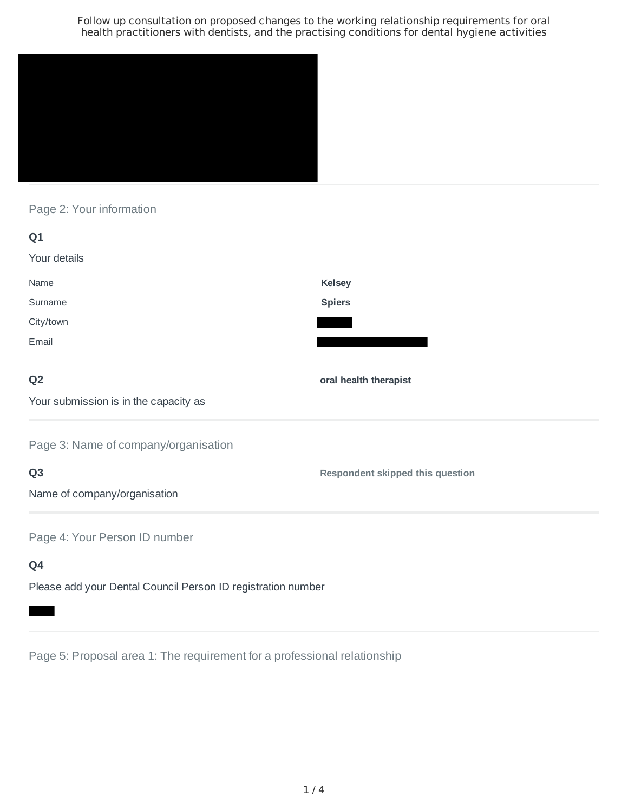

Page 2: Your information

| Q1                                    |                                         |
|---------------------------------------|-----------------------------------------|
| Your details                          |                                         |
| Name                                  | <b>Kelsey</b>                           |
| Surname                               | <b>Spiers</b>                           |
| City/town                             |                                         |
| Email                                 |                                         |
| Q <sub>2</sub>                        | oral health therapist                   |
| Your submission is in the capacity as |                                         |
| Page 3: Name of company/organisation  |                                         |
| Q <sub>3</sub>                        | <b>Respondent skipped this question</b> |

Name of company/organisation

Page 4: Your Person ID number

**Q4**

Please add your Dental Council Person ID registration number

Page 5: Proposal area 1: The requirement for a professional relationship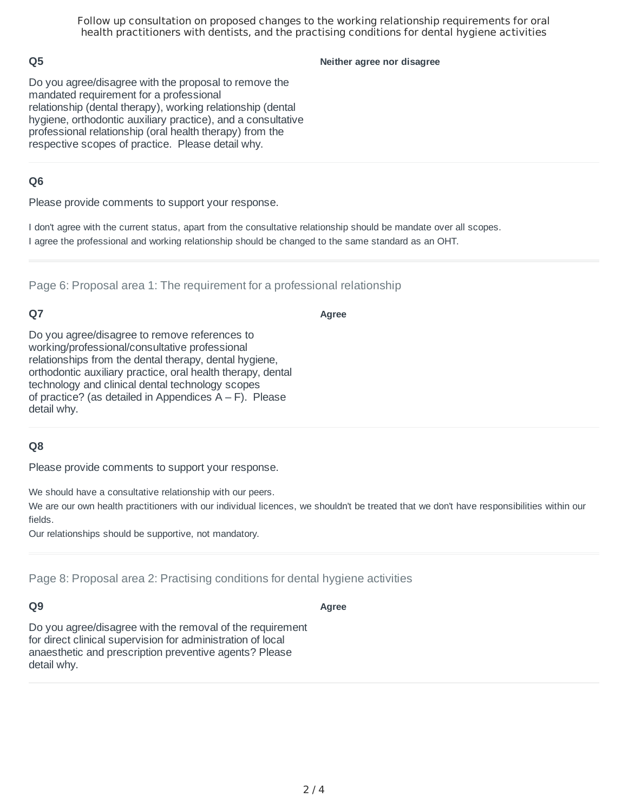## **Q5**

**Neither agree nor disagree**

Do you agree/disagree with the proposal to remove the mandated requirement for a professional relationship (dental therapy), working relationship (dental hygiene, orthodontic auxiliary practice), and a consultative professional relationship (oral health therapy) from the respective scopes of practice. Please detail why.

## **Q6**

Please provide comments to support your response.

I don't agree with the current status, apart from the consultative relationship should be mandate over all scopes. I agree the professional and working relationship should be changed to the same standard as an OHT.

Page 6: Proposal area 1: The requirement for a professional relationship

## **Q7**

**Agree**

Do you agree/disagree to remove references to working/professional/consultative professional relationships from the dental therapy, dental hygiene, orthodontic auxiliary practice, oral health therapy, dental technology and clinical dental technology scopes of practice? (as detailed in Appendices  $A - F$ ). Please detail why.

### **Q8**

Please provide comments to support your response.

We should have a consultative relationship with our peers.

We are our own health practitioners with our individual licences, we shouldn't be treated that we don't have responsibilities within our fields.

Our relationships should be supportive, not mandatory.

Page 8: Proposal area 2: Practising conditions for dental hygiene activities

### **Q9**

**Agree**

Do you agree/disagree with the removal of the requirement for direct clinical supervision for administration of local anaesthetic and prescription preventive agents? Please detail why.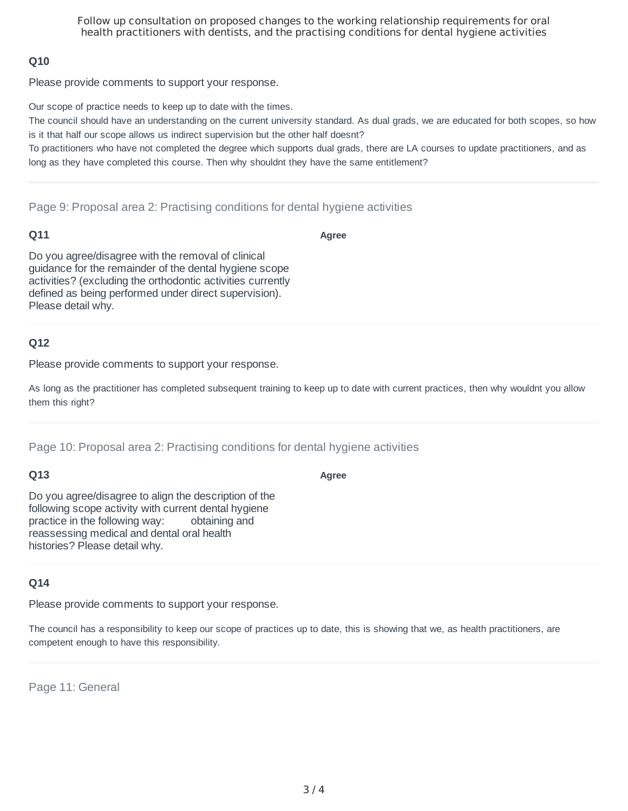## **Q10**

Please provide comments to support your response.

Our scope of practice needs to keep up to date with the times.

The council should have an understanding on the current university standard. As dual grads, we are educated for both scopes, so how is it that half our scope allows us indirect supervision but the other half doesnt?

To practitioners who have not completed the degree which supports dual grads, there are LA courses to update practitioners, and as long as they have completed this course. Then why shouldnt they have the same entitlement?

Page 9: Proposal area 2: Practising conditions for dental hygiene activities

#### **Q11**

**Agree**

Do you agree/disagree with the removal of clinical guidance for the remainder of the dental hygiene scope activities? (excluding the orthodontic activities currently defined as being performed under direct supervision). Please detail why.

### **Q12**

Please provide comments to support your response.

As long as the practitioner has completed subsequent training to keep up to date with current practices, then why wouldnt you allow them this right?

**Agree**

Page 10: Proposal area 2: Practising conditions for dental hygiene activities

### **Q13**

Do you agree/disagree to align the description of the following scope activity with current dental hygiene practice in the following way: obtaining and reassessing medical and dental oral health

### **Q14**

Please provide comments to support your response.

The council has a responsibility to keep our scope of practices up to date, this is showing that we, as health practitioners, are competent enough to have this responsibility.

Page 11: General

histories? Please detail why.